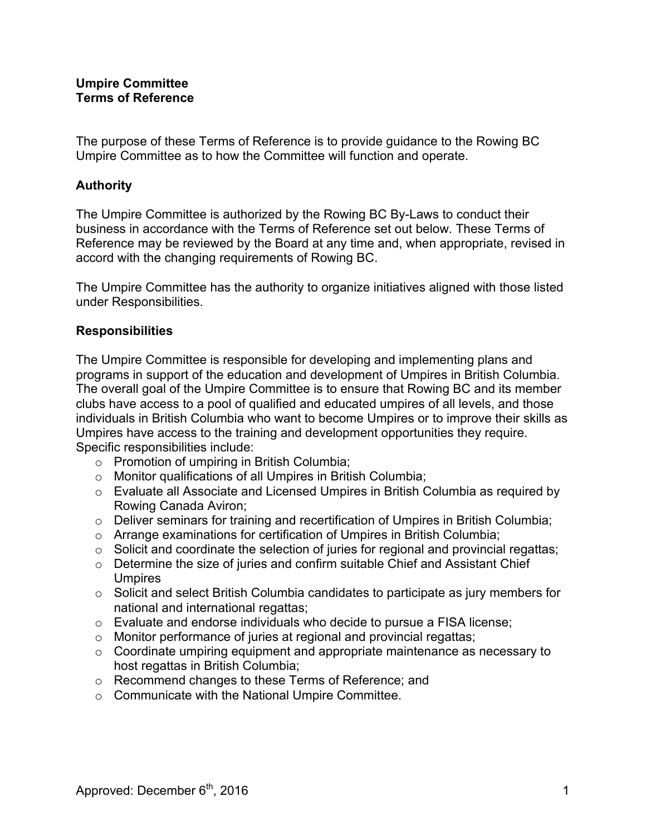The purpose of these Terms of Reference is to provide guidance to the Rowing BC Umpire Committee as to how the Committee will function and operate.

## **Authority**

The Umpire Committee is authorized by the Rowing BC By-Laws to conduct their business in accordance with the Terms of Reference set out below. These Terms of Reference may be reviewed by the Board at any time and, when appropriate, revised in accord with the changing requirements of Rowing BC.

The Umpire Committee has the authority to organize initiatives aligned with those listed under Responsibilities.

# **Responsibilities**

The Umpire Committee is responsible for developing and implementing plans and programs in support of the education and development of Umpires in British Columbia. The overall goal of the Umpire Committee is to ensure that Rowing BC and its member clubs have access to a pool of qualified and educated umpires of all levels, and those individuals in British Columbia who want to become Umpires or to improve their skills as Umpires have access to the training and development opportunities they require. Specific responsibilities include:

- o Promotion of umpiring in British Columbia;
- o Monitor qualifications of all Umpires in British Columbia;
- o Evaluate all Associate and Licensed Umpires in British Columbia as required by Rowing Canada Aviron;
- o Deliver seminars for training and recertification of Umpires in British Columbia;
- o Arrange examinations for certification of Umpires in British Columbia;
- $\circ$  Solicit and coordinate the selection of juries for regional and provincial regattas;
- o Determine the size of juries and confirm suitable Chief and Assistant Chief Umpires
- o Solicit and select British Columbia candidates to participate as jury members for national and international regattas;
- o Evaluate and endorse individuals who decide to pursue a FISA license;
- o Monitor performance of juries at regional and provincial regattas;
- o Coordinate umpiring equipment and appropriate maintenance as necessary to host regattas in British Columbia;
- o Recommend changes to these Terms of Reference; and
- o Communicate with the National Umpire Committee.